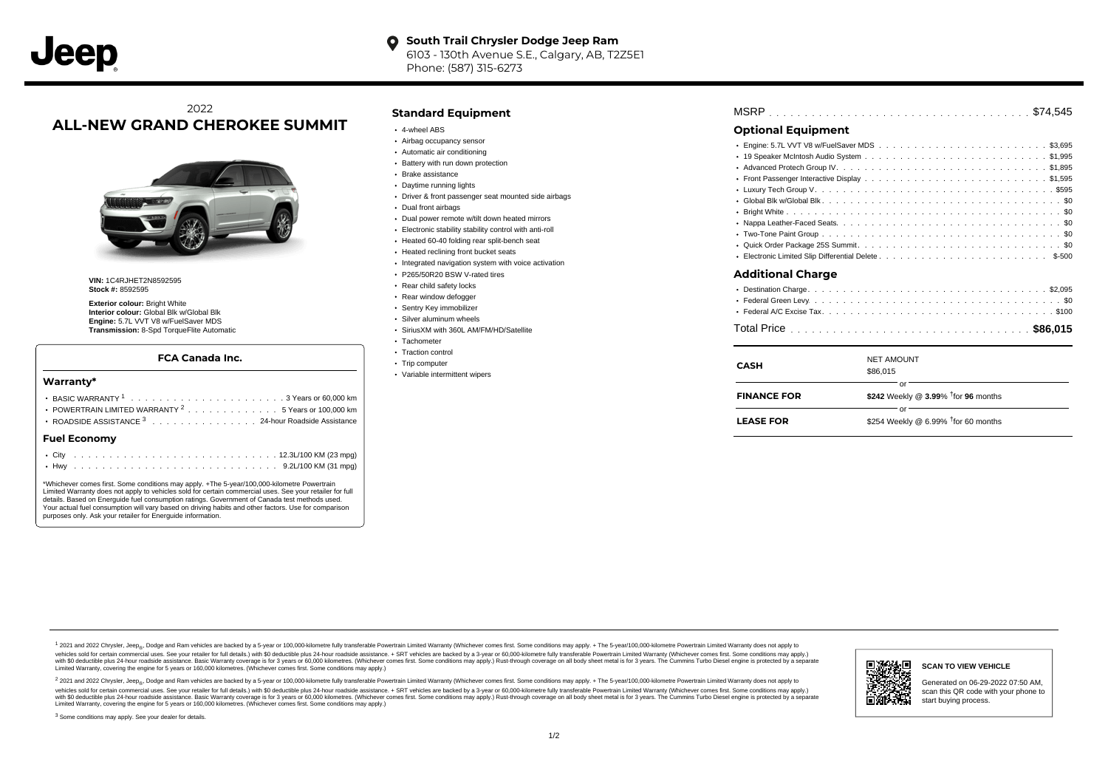# 2022 **ALL-NEW GRAND CHEROKEE SUMMIT**



**VIN:** 1C4RJHET2N8592595 **Stock #:** 8592595

**Exterior colour:** Bright White **Interior colour:** Global Blk w/Global Blk **Engine:** 5.7L VVT V8 w/FuelSaver MDS **Transmission:** 8-Spd TorqueFlite Automatic

#### **FCA Canada Inc.**

#### **Warranty\***

| POWERTRAIN LIMITED WARRANTY <sup>2</sup> 5 Years or 100,000 km |  |  |  |  |  |  |
|----------------------------------------------------------------|--|--|--|--|--|--|
| ROADSIDE ASSISTANCE 3 24-hour Roadside Assistance              |  |  |  |  |  |  |
| <b>Fuel Economy</b>                                            |  |  |  |  |  |  |
|                                                                |  |  |  |  |  |  |

\*Whichever comes first. Some conditions may apply. +The 5-year/100,000-kilometre Powertrain Limited Warranty does not apply to vehicles sold for certain commercial uses. See your retailer for full details. Based on Energuide fuel consumption ratings. Government of Canada test methods used. Your actual fuel consumption will vary based on driving habits and other factors. Use for comparison purposes only. Ask your retailer for Energuide information.

. . . . . . . . . . . . . . . . . . . . . . . . . . . . . . . . . . . . . . . . . . . Hwy 9.2L/100 KM (31 mpg)

### **Standard Equipment**

- 4-wheel ABS
- Airbag occupancy sensor
- Automatic air conditioning
- Battery with run down protection Brake assistance
- Daytime running lights
- Driver & front passenger seat mounted side airbags
- Dual front airbags
- Dual power remote w/tilt down heated mirrors
- Electronic stability stability control with anti-roll
- Heated 60-40 folding rear split-bench seat
- Heated reclining front bucket seats
- Integrated navigation system with voice activation
- P265/50R20 BSW V-rated tires
- Rear child safety locks
- Rear window defogger
- Sentry Key immobilizer
- Silver aluminum wheels
- SiriusXM with 360L AM/FM/HD/Satellite
- Tachometer
- Traction control
- Trip computer
- Variable intermittent wipers

| <b>Optional Equipment</b> |  |
|---------------------------|--|
|                           |  |

# Engine: 5.7L VVT V8 w/FuelSaver MDS ............................\$3,695 . . . . . . . . . . . . . . . . . . . . . . . . . . . . . . . . . . . . . . . . . . . . . . 19 Speaker McIntosh Audio System \$1,995 . . . . . . . . . . . . . . . . . . . . . . . . . . . . . . . . . . . . . . . . . . . . . . Advanced Protech Group IV \$1,895 Front Passenger Interactive Display .............................\$1,595 . . . . . . . . . . . . . . . . . . . . . . . . . . . . . . . . . . . . . . . . . . . . . . Luxury Tech Group V \$595 . . . . . . . . . . . . . . . . . . . . . . . . . . . . . . . . . . . . . . . . . . . . . . Global Blk w/Global Blk \$0 . . . . . . . . . . . . . . . . . . . . . . . . . . . . . . . . . . . . . . . . . . . . . . Bright White \$0 . . . . . . . . . . . . . . . . . . . . . . . . . . . . . . . . . . . . . . . . . . . . . . Nappa Leather-Faced Seats \$0 . . . . . . . . . . . . . . . . . . . . . . . . . . . . . . . . . . . . . . . . . . . . . . Two-Tone Paint Group \$0 . . . . . . . . . . . . . . . . . . . . . . . . . . . . . . . . . . . . . . . . . . . . . . Quick Order Package 25S Summit \$0 . . . . . . . . . . . . . . . . . . . . . . . . . . . . . . . . . . . . . . . . . . . . . . Electronic Limited Slip Differential Delete \$-500

#### **Additional Charge**

| CASH               | <b>NET AMOUNT</b><br>\$86,015                            |
|--------------------|----------------------------------------------------------|
| <b>FINANCE FOR</b> | Ωr<br>\$242 Weekly @ $3.99\%$ <sup>†</sup> for 96 months |
| <b>LEASE FOR</b>   | nr<br>\$254 Weekly @ 6.99% $†$ for 60 months             |

1 2021 and 2022 Chrysler, Jeep<sub>en</sub> Dodge and Ram vehicles are backed by a 5-year or 100,000-kilometre fully transferable Powertrain Limited Warranty (Whichever comes first. Some conditions may apply. + The 5-year/100,000-k vehicles sold for certain commercial uses. See your retailer for full details.) with \$0 deductible plus 24-hour madside assistance. + SRT vehicles are backed by a 3-year or 60.000-kilometre fully transferable Powertrain Li ventals and contract when the contract when the contract you contract when the contract when the control of the set of a set of a set of a set of 3 years of 60,000 kilometres. Whichever comes first. Some conditions may app Limited Warranty, covering the engine for 5 years or 160,000 kilometres. (Whichever comes first. Some conditions may apply.)

2 2021 and 2022 Chrysler, Jeep<sub>es</sub> Dodge and Ram vehicles are backed by a 5-year or 100,000-kilometre fully transferable Powertrain Limited Warranty (Whichever comes first. Some conditions may apply. + The 5-year/100,000-k vehicles sold for certain commercial uses. See your retailer for full details.) with SO deductible plus 24-hour roadside assistance. + SRT vehicles are backed by a 3-year or 60.000-kilometre fully transferable Powertrain L with S0 deductible plus 24-hour roadside assistance. Basic Warranty coverage is for 3 years or 60,000 kilometres. (Whichever comes first. Some conditions may apply.) Rust-through coverage on all body sheet metal is for 3 y



#### **SCAN TO VIEW VEHICLE**

Generated on 06-29-2022 07:50 AM, scan this QR code with your phone to start buying process.

<sup>3</sup> Some conditions may apply. See your dealer for details.